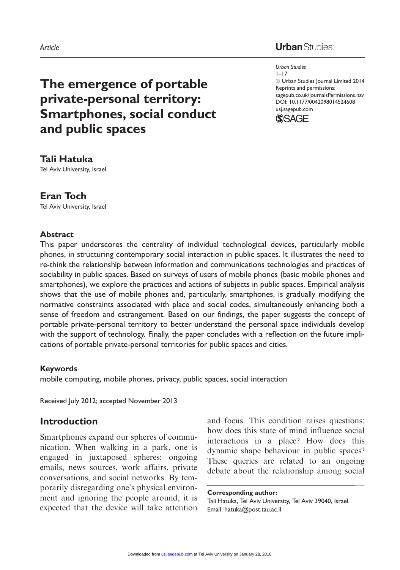# **Urban** Studies

The emergence of portable private-personal territory: Smartphones, social conduct and public spaces

Urban Studies 1–17 - Urban Studies Journal Limited 2014 Reprints and permissions: sagepub.co.uk/journalsPermissions.nav DOI: 10.1177/0042098014524608 usj.sagepub.com



### Tali Hatuka

Tel Aviv University, Israel

### Eran Toch

Tel Aviv University, Israel

### **Abstract**

This paper underscores the centrality of individual technological devices, particularly mobile phones, in structuring contemporary social interaction in public spaces. It illustrates the need to re-think the relationship between information and communications technologies and practices of sociability in public spaces. Based on surveys of users of mobile phones (basic mobile phones and smartphones), we explore the practices and actions of subjects in public spaces. Empirical analysis shows that the use of mobile phones and, particularly, smartphones, is gradually modifying the normative constraints associated with place and social codes, simultaneously enhancing both a sense of freedom and estrangement. Based on our findings, the paper suggests the concept of portable private-personal territory to better understand the personal space individuals develop with the support of technology. Finally, the paper concludes with a reflection on the future implications of portable private-personal territories for public spaces and cities.

### Keywords

mobile computing, mobile phones, privacy, public spaces, social interaction

Received July 2012; accepted November 2013

# Introduction

Smartphones expand our spheres of communication. When walking in a park, one is engaged in juxtaposed spheres: ongoing emails, news sources, work affairs, private conversations, and social networks. By temporarily disregarding one's physical environment and ignoring the people around, it is expected that the device will take attention and focus. This condition raises questions: how does this state of mind influence social interactions in a place? How does this dynamic shape behaviour in public spaces? These queries are related to an ongoing debate about the relationship among social

Tali Hatuka, Tel Aviv University, Tel Aviv 39040, Israel. Email: hatuka@post.tau.ac.il

Corresponding author: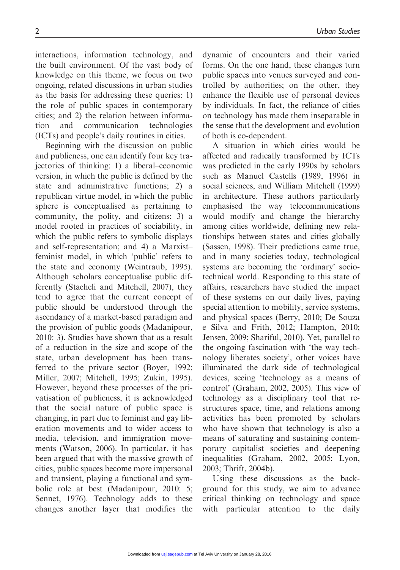interactions, information technology, and the built environment. Of the vast body of knowledge on this theme, we focus on two ongoing, related discussions in urban studies as the basis for addressing these queries: 1) the role of public spaces in contemporary cities; and 2) the relation between information and communication technologies (ICTs) and people's daily routines in cities.

Beginning with the discussion on public and publicness, one can identify four key trajectories of thinking: 1) a liberal–economic version, in which the public is defined by the state and administrative functions; 2) a republican virtue model, in which the public sphere is conceptualised as pertaining to community, the polity, and citizens; 3) a model rooted in practices of sociability, in which the public refers to symbolic displays and self-representation; and 4) a Marxist– feminist model, in which 'public' refers to the state and economy (Weintraub, 1995). Although scholars conceptualise public differently (Staeheli and Mitchell, 2007), they tend to agree that the current concept of public should be understood through the ascendancy of a market-based paradigm and the provision of public goods (Madanipour, 2010: 3). Studies have shown that as a result of a reduction in the size and scope of the state, urban development has been transferred to the private sector (Boyer, 1992; Miller, 2007; Mitchell, 1995; Zukin, 1995). However, beyond these processes of the privatisation of publicness, it is acknowledged that the social nature of public space is changing, in part due to feminist and gay liberation movements and to wider access to media, television, and immigration movements (Watson, 2006). In particular, it has been argued that with the massive growth of cities, public spaces become more impersonal and transient, playing a functional and symbolic role at best (Madanipour, 2010: 5; Sennet, 1976). Technology adds to these changes another layer that modifies the

dynamic of encounters and their varied forms. On the one hand, these changes turn public spaces into venues surveyed and controlled by authorities; on the other, they enhance the flexible use of personal devices by individuals. In fact, the reliance of cities on technology has made them inseparable in the sense that the development and evolution of both is co-dependent.

A situation in which cities would be affected and radically transformed by ICTs was predicted in the early 1990s by scholars such as Manuel Castells (1989, 1996) in social sciences, and William Mitchell (1999) in architecture. These authors particularly emphasised the way telecommunications would modify and change the hierarchy among cities worldwide, defining new relationships between states and cities globally (Sassen, 1998). Their predictions came true, and in many societies today, technological systems are becoming the 'ordinary' sociotechnical world. Responding to this state of affairs, researchers have studied the impact of these systems on our daily lives, paying special attention to mobility, service systems, and physical spaces (Berry, 2010; De Souza e Silva and Frith, 2012; Hampton, 2010; Jensen, 2009; Shariful, 2010). Yet, parallel to the ongoing fascination with 'the way technology liberates society', other voices have illuminated the dark side of technological devices, seeing 'technology as a means of control' (Graham, 2002, 2005). This view of technology as a disciplinary tool that restructures space, time, and relations among activities has been promoted by scholars who have shown that technology is also a means of saturating and sustaining contemporary capitalist societies and deepening inequalities (Graham, 2002, 2005; Lyon, 2003; Thrift, 2004b).

Using these discussions as the background for this study, we aim to advance critical thinking on technology and space with particular attention to the daily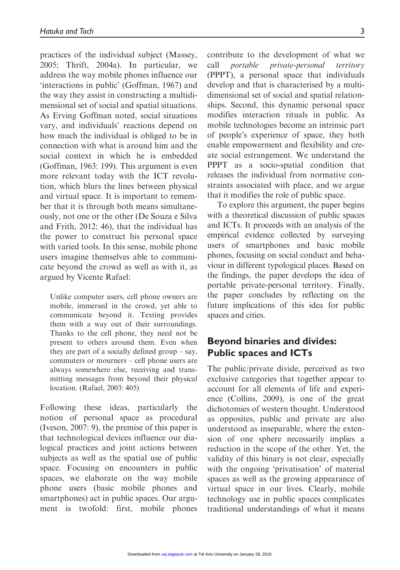practices of the individual subject (Massey, 2005; Thrift, 2004a). In particular, we address the way mobile phones influence our 'interactions in public' (Goffman, 1967) and the way they assist in constructing a multidimensional set of social and spatial situations. As Erving Goffman noted, social situations vary, and individuals' reactions depend on how much the individual is obliged to be in connection with what is around him and the social context in which he is embedded (Goffman, 1963: 199). This argument is even more relevant today with the ICT revolution, which blurs the lines between physical and virtual space. It is important to remember that it is through both means simultaneously, not one or the other (De Souza e Silva and Frith, 2012: 46), that the individual has the power to construct his personal space with varied tools. In this sense, mobile phone users imagine themselves able to communicate beyond the crowd as well as with it, as argued by Vicente Rafael:

Unlike computer users, cell phone owners are mobile, immersed in the crowd, yet able to communicate beyond it. Texting provides them with a way out of their surroundings. Thanks to the cell phone, they need not be present to others around them. Even when they are part of a socially defined group – say, commuters or mourners – cell phone users are always somewhere else, receiving and transmitting messages from beyond their physical location. (Rafael, 2003: 405)

Following these ideas, particularly the notion of personal space as procedural (Iveson, 2007: 9), the premise of this paper is that technological devices influence our dialogical practices and joint actions between subjects as well as the spatial use of public space. Focusing on encounters in public spaces, we elaborate on the way mobile phone users (basic mobile phones and smartphones) act in public spaces. Our argument is twofold: first, mobile phones contribute to the development of what we call portable private-personal territory (PPPT), a personal space that individuals develop and that is characterised by a multidimensional set of social and spatial relationships. Second, this dynamic personal space modifies interaction rituals in public. As mobile technologies become an intrinsic part of people's experience of space, they both enable empowerment and flexibility and create social estrangement. We understand the PPPT as a socio-spatial condition that releases the individual from normative constraints associated with place, and we argue that it modifies the role of public space.

To explore this argument, the paper begins with a theoretical discussion of public spaces and ICTs. It proceeds with an analysis of the empirical evidence collected by surveying users of smartphones and basic mobile phones, focusing on social conduct and behaviour in different typological places. Based on the findings, the paper develops the idea of portable private-personal territory. Finally, the paper concludes by reflecting on the future implications of this idea for public spaces and cities.

## Beyond binaries and divides: Public spaces and ICTs

The public/private divide, perceived as two exclusive categories that together appear to account for all elements of life and experience (Collins, 2009), is one of the great dichotomies of western thought. Understood as opposites, public and private are also understood as inseparable, where the extension of one sphere necessarily implies a reduction in the scope of the other. Yet, the validity of this binary is not clear, especially with the ongoing 'privatisation' of material spaces as well as the growing appearance of virtual space in our lives. Clearly, mobile technology use in public spaces complicates traditional understandings of what it means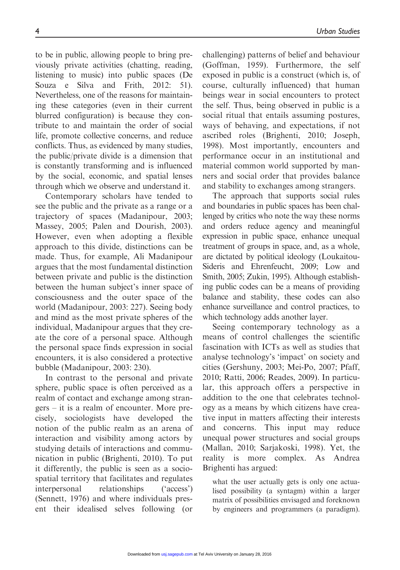to be in public, allowing people to bring previously private activities (chatting, reading, listening to music) into public spaces (De Souza e Silva and Frith, 2012: 51). Nevertheless, one of the reasons for maintaining these categories (even in their current blurred configuration) is because they contribute to and maintain the order of social life, promote collective concerns, and reduce conflicts. Thus, as evidenced by many studies, the public/private divide is a dimension that is constantly transforming and is influenced by the social, economic, and spatial lenses through which we observe and understand it.

Contemporary scholars have tended to see the public and the private as a range or a trajectory of spaces (Madanipour, 2003; Massey, 2005; Palen and Dourish, 2003). However, even when adopting a flexible approach to this divide, distinctions can be made. Thus, for example, Ali Madanipour argues that the most fundamental distinction between private and public is the distinction between the human subject's inner space of consciousness and the outer space of the world (Madanipour, 2003: 227). Seeing body and mind as the most private spheres of the individual, Madanipour argues that they create the core of a personal space. Although the personal space finds expression in social encounters, it is also considered a protective bubble (Madanipour, 2003: 230).

In contrast to the personal and private sphere, public space is often perceived as a realm of contact and exchange among strangers – it is a realm of encounter. More precisely, sociologists have developed the notion of the public realm as an arena of interaction and visibility among actors by studying details of interactions and communication in public (Brighenti, 2010). To put it differently, the public is seen as a sociospatial territory that facilitates and regulates interpersonal relationships ('access') (Sennett, 1976) and where individuals present their idealised selves following (or challenging) patterns of belief and behaviour (Goffman, 1959). Furthermore, the self exposed in public is a construct (which is, of course, culturally influenced) that human beings wear in social encounters to protect the self. Thus, being observed in public is a social ritual that entails assuming postures, ways of behaving, and expectations, if not ascribed roles (Brighenti, 2010; Joseph, 1998). Most importantly, encounters and performance occur in an institutional and material common world supported by manners and social order that provides balance and stability to exchanges among strangers.

The approach that supports social rules and boundaries in public spaces has been challenged by critics who note the way these norms and orders reduce agency and meaningful expression in public space, enhance unequal treatment of groups in space, and, as a whole, are dictated by political ideology (Loukaitou-Sideris and Ehrenfeucht, 2009; Low and Smith, 2005; Zukin, 1995). Although establishing public codes can be a means of providing balance and stability, these codes can also enhance surveillance and control practices, to which technology adds another layer.

Seeing contemporary technology as a means of control challenges the scientific fascination with ICTs as well as studies that analyse technology's 'impact' on society and cities (Gershuny, 2003; Mei-Po, 2007; Pfaff, 2010; Ratti, 2006; Reades, 2009). In particular, this approach offers a perspective in addition to the one that celebrates technology as a means by which citizens have creative input in matters affecting their interests and concerns. This input may reduce unequal power structures and social groups (Mallan, 2010; Sarjakoski, 1998). Yet, the reality is more complex. As Andrea Brighenti has argued:

what the user actually gets is only one actualised possibility (a syntagm) within a larger matrix of possibilities envisaged and foreknown by engineers and programmers (a paradigm).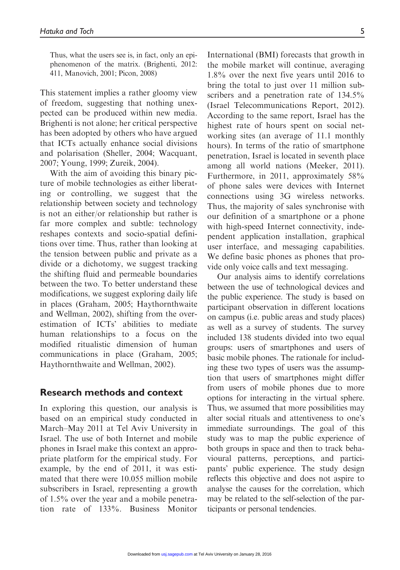Thus, what the users see is, in fact, only an epiphenomenon of the matrix. (Brighenti, 2012: 411, Manovich, 2001; Picon, 2008)

This statement implies a rather gloomy view of freedom, suggesting that nothing unexpected can be produced within new media. Brighenti is not alone; her critical perspective has been adopted by others who have argued that ICTs actually enhance social divisions and polarisation (Sheller, 2004; Wacquant, 2007; Young, 1999; Zureik, 2004).

With the aim of avoiding this binary picture of mobile technologies as either liberating or controlling, we suggest that the relationship between society and technology is not an either/or relationship but rather is far more complex and subtle: technology reshapes contexts and socio-spatial definitions over time. Thus, rather than looking at the tension between public and private as a divide or a dichotomy, we suggest tracking the shifting fluid and permeable boundaries between the two. To better understand these modifications, we suggest exploring daily life in places (Graham, 2005; Haythornthwaite and Wellman, 2002), shifting from the overestimation of ICTs' abilities to mediate human relationships to a focus on the modified ritualistic dimension of human communications in place (Graham, 2005; Haythornthwaite and Wellman, 2002).

### Research methods and context

In exploring this question, our analysis is based on an empirical study conducted in March–May 2011 at Tel Aviv University in Israel. The use of both Internet and mobile phones in Israel make this context an appropriate platform for the empirical study. For example, by the end of 2011, it was estimated that there were 10.055 million mobile subscribers in Israel, representing a growth of 1.5% over the year and a mobile penetration rate of 133%. Business Monitor International (BMI) forecasts that growth in the mobile market will continue, averaging 1.8% over the next five years until 2016 to bring the total to just over 11 million subscribers and a penetration rate of 134.5% (Israel Telecommunications Report, 2012). According to the same report, Israel has the highest rate of hours spent on social networking sites (an average of 11.1 monthly hours). In terms of the ratio of smartphone penetration, Israel is located in seventh place among all world nations (Meeker, 2011). Furthermore, in 2011, approximately 58% of phone sales were devices with Internet connections using 3G wireless networks. Thus, the majority of sales synchronise with our definition of a smartphone or a phone with high-speed Internet connectivity, independent application installation, graphical user interface, and messaging capabilities. We define basic phones as phones that provide only voice calls and text messaging.

Our analysis aims to identify correlations between the use of technological devices and the public experience. The study is based on participant observation in different locations on campus (i.e. public areas and study places) as well as a survey of students. The survey included 138 students divided into two equal groups: users of smartphones and users of basic mobile phones. The rationale for including these two types of users was the assumption that users of smartphones might differ from users of mobile phones due to more options for interacting in the virtual sphere. Thus, we assumed that more possibilities may alter social rituals and attentiveness to one's immediate surroundings. The goal of this study was to map the public experience of both groups in space and then to track behavioural patterns, perceptions, and participants' public experience. The study design reflects this objective and does not aspire to analyse the causes for the correlation, which may be related to the self-selection of the participants or personal tendencies.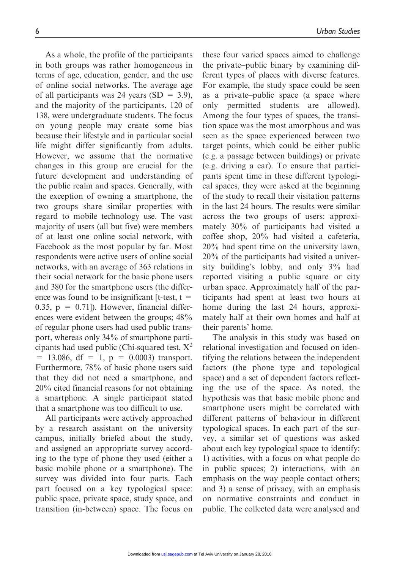As a whole, the profile of the participants in both groups was rather homogeneous in terms of age, education, gender, and the use of online social networks. The average age of all participants was 24 years (SD = 3.9), and the majority of the participants, 120 of 138, were undergraduate students. The focus on young people may create some bias because their lifestyle and in particular social life might differ significantly from adults. However, we assume that the normative changes in this group are crucial for the future development and understanding of the public realm and spaces. Generally, with the exception of owning a smartphone, the two groups share similar properties with regard to mobile technology use. The vast majority of users (all but five) were members of at least one online social network, with Facebook as the most popular by far. Most respondents were active users of online social networks, with an average of 363 relations in their social network for the basic phone users and 380 for the smartphone users (the difference was found to be insignificant [t-test,  $t =$ 0.35,  $p = 0.71$ ]). However, financial differences were evident between the groups;  $48\%$ of regular phone users had used public transport, whereas only 34% of smartphone participants had used public (Chi-squared test,  $X^2$ )  $= 13.086$ , df  $= 1$ , p  $= 0.0003$ ) transport. Furthermore, 78% of basic phone users said that they did not need a smartphone, and 20% cited financial reasons for not obtaining a smartphone. A single participant stated that a smartphone was too difficult to use.

All participants were actively approached by a research assistant on the university campus, initially briefed about the study, and assigned an appropriate survey according to the type of phone they used (either a basic mobile phone or a smartphone). The survey was divided into four parts. Each part focused on a key typological space: public space, private space, study space, and transition (in-between) space. The focus on

these four varied spaces aimed to challenge the private–public binary by examining different types of places with diverse features. For example, the study space could be seen as a private–public space (a space where only permitted students are allowed). Among the four types of spaces, the transition space was the most amorphous and was seen as the space experienced between two target points, which could be either public (e.g. a passage between buildings) or private (e.g. driving a car). To ensure that participants spent time in these different typological spaces, they were asked at the beginning of the study to recall their visitation patterns in the last 24 hours. The results were similar across the two groups of users: approximately 30% of participants had visited a coffee shop, 20% had visited a cafeteria, 20% had spent time on the university lawn, 20% of the participants had visited a university building's lobby, and only 3% had reported visiting a public square or city urban space. Approximately half of the participants had spent at least two hours at home during the last 24 hours, approximately half at their own homes and half at their parents' home.

The analysis in this study was based on relational investigation and focused on identifying the relations between the independent factors (the phone type and topological space) and a set of dependent factors reflecting the use of the space. As noted, the hypothesis was that basic mobile phone and smartphone users might be correlated with different patterns of behaviour in different typological spaces. In each part of the survey, a similar set of questions was asked about each key typological space to identify: 1) activities, with a focus on what people do in public spaces; 2) interactions, with an emphasis on the way people contact others; and 3) a sense of privacy, with an emphasis on normative constraints and conduct in public. The collected data were analysed and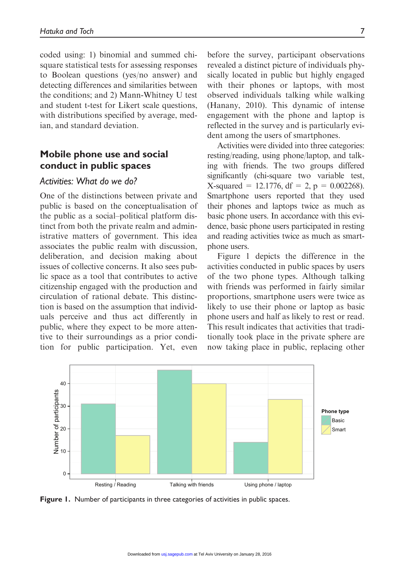coded using: 1) binomial and summed chisquare statistical tests for assessing responses to Boolean questions (yes/no answer) and detecting differences and similarities between the conditions; and 2) Mann-Whitney U test and student t-test for Likert scale questions, with distributions specified by average, median, and standard deviation.

### Mobile phone use and social conduct in public spaces

### Activities: What do we do?

One of the distinctions between private and public is based on the conceptualisation of the public as a social–political platform distinct from both the private realm and administrative matters of government. This idea associates the public realm with discussion, deliberation, and decision making about issues of collective concerns. It also sees public space as a tool that contributes to active citizenship engaged with the production and circulation of rational debate. This distinction is based on the assumption that individuals perceive and thus act differently in public, where they expect to be more attentive to their surroundings as a prior condition for public participation. Yet, even

before the survey, participant observations revealed a distinct picture of individuals physically located in public but highly engaged with their phones or laptops, with most observed individuals talking while walking (Hanany, 2010). This dynamic of intense engagement with the phone and laptop is reflected in the survey and is particularly evident among the users of smartphones.

Activities were divided into three categories: resting/reading, using phone/laptop, and talking with friends. The two groups differed significantly (chi-square two variable test,  $X$ -squared = 12.1776, df = 2, p = 0.002268). Smartphone users reported that they used their phones and laptops twice as much as basic phone users. In accordance with this evidence, basic phone users participated in resting and reading activities twice as much as smartphone users.

Figure 1 depicts the difference in the activities conducted in public spaces by users of the two phone types. Although talking with friends was performed in fairly similar proportions, smartphone users were twice as likely to use their phone or laptop as basic phone users and half as likely to rest or read. This result indicates that activities that traditionally took place in the private sphere are now taking place in public, replacing other



Figure 1. Number of participants in three categories of activities in public spaces.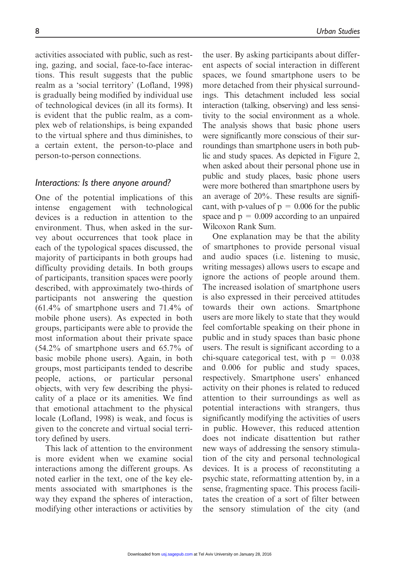activities associated with public, such as resting, gazing, and social, face-to-face interactions. This result suggests that the public realm as a 'social territory' (Lofland, 1998) is gradually being modified by individual use of technological devices (in all its forms). It is evident that the public realm, as a complex web of relationships, is being expanded to the virtual sphere and thus diminishes, to a certain extent, the person-to-place and person-to-person connections.

#### Interactions: Is there anyone around?

One of the potential implications of this intense engagement with technological devices is a reduction in attention to the environment. Thus, when asked in the survey about occurrences that took place in each of the typological spaces discussed, the majority of participants in both groups had difficulty providing details. In both groups of participants, transition spaces were poorly described, with approximately two-thirds of participants not answering the question  $(61.4\%$  of smartphone users and  $71.4\%$  of mobile phone users). As expected in both groups, participants were able to provide the most information about their private space (54.2% of smartphone users and 65.7% of basic mobile phone users). Again, in both groups, most participants tended to describe people, actions, or particular personal objects, with very few describing the physicality of a place or its amenities. We find that emotional attachment to the physical locale (Lofland, 1998) is weak, and focus is given to the concrete and virtual social territory defined by users.

This lack of attention to the environment is more evident when we examine social interactions among the different groups. As noted earlier in the text, one of the key elements associated with smartphones is the way they expand the spheres of interaction, modifying other interactions or activities by

the user. By asking participants about different aspects of social interaction in different spaces, we found smartphone users to be more detached from their physical surroundings. This detachment included less social interaction (talking, observing) and less sensitivity to the social environment as a whole. The analysis shows that basic phone users were significantly more conscious of their surroundings than smartphone users in both public and study spaces. As depicted in Figure 2, when asked about their personal phone use in public and study places, basic phone users were more bothered than smartphone users by an average of 20%. These results are significant, with p-values of  $p = 0.006$  for the public space and  $p = 0.009$  according to an unpaired Wilcoxon Rank Sum.

One explanation may be that the ability of smartphones to provide personal visual and audio spaces (i.e. listening to music, writing messages) allows users to escape and ignore the actions of people around them. The increased isolation of smartphone users is also expressed in their perceived attitudes towards their own actions. Smartphone users are more likely to state that they would feel comfortable speaking on their phone in public and in study spaces than basic phone users. The result is significant according to a chi-square categorical test, with  $p = 0.038$ and 0.006 for public and study spaces, respectively. Smartphone users' enhanced activity on their phones is related to reduced attention to their surroundings as well as potential interactions with strangers, thus significantly modifying the activities of users in public. However, this reduced attention does not indicate disattention but rather new ways of addressing the sensory stimulation of the city and personal technological devices. It is a process of reconstituting a psychic state, reformatting attention by, in a sense, fragmenting space. This process facilitates the creation of a sort of filter between the sensory stimulation of the city (and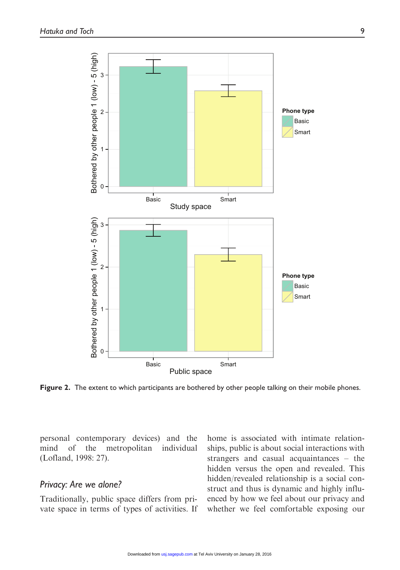

Figure 2. The extent to which participants are bothered by other people talking on their mobile phones.

personal contemporary devices) and the mind of the metropolitan individual (Lofland, 1998: 27).

### Privacy: Are we alone?

Traditionally, public space differs from private space in terms of types of activities. If home is associated with intimate relationships, public is about social interactions with strangers and casual acquaintances – the hidden versus the open and revealed. This hidden/revealed relationship is a social construct and thus is dynamic and highly influenced by how we feel about our privacy and whether we feel comfortable exposing our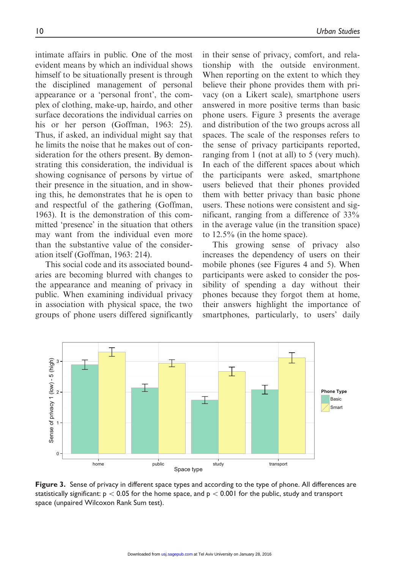intimate affairs in public. One of the most evident means by which an individual shows himself to be situationally present is through the disciplined management of personal appearance or a 'personal front', the complex of clothing, make-up, hairdo, and other surface decorations the individual carries on his or her person (Goffman, 1963: 25). Thus, if asked, an individual might say that he limits the noise that he makes out of consideration for the others present. By demonstrating this consideration, the individual is showing cognisance of persons by virtue of their presence in the situation, and in showing this, he demonstrates that he is open to and respectful of the gathering (Goffman, 1963). It is the demonstration of this committed 'presence' in the situation that others may want from the individual even more than the substantive value of the consideration itself (Goffman, 1963: 214).

This social code and its associated boundaries are becoming blurred with changes to the appearance and meaning of privacy in public. When examining individual privacy in association with physical space, the two groups of phone users differed significantly in their sense of privacy, comfort, and relationship with the outside environment. When reporting on the extent to which they believe their phone provides them with privacy (on a Likert scale), smartphone users answered in more positive terms than basic phone users. Figure 3 presents the average and distribution of the two groups across all spaces. The scale of the responses refers to the sense of privacy participants reported, ranging from 1 (not at all) to 5 (very much). In each of the different spaces about which the participants were asked, smartphone users believed that their phones provided them with better privacy than basic phone users. These notions were consistent and significant, ranging from a difference of 33% in the average value (in the transition space) to 12.5% (in the home space).

This growing sense of privacy also increases the dependency of users on their mobile phones (see Figures 4 and 5). When participants were asked to consider the possibility of spending a day without their phones because they forgot them at home, their answers highlight the importance of smartphones, particularly, to users' daily



Figure 3. Sense of privacy in different space types and according to the type of phone. All differences are statistically significant:  $p \le 0.05$  for the home space, and  $p \lt 0.001$  for the public, study and transport space (unpaired Wilcoxon Rank Sum test).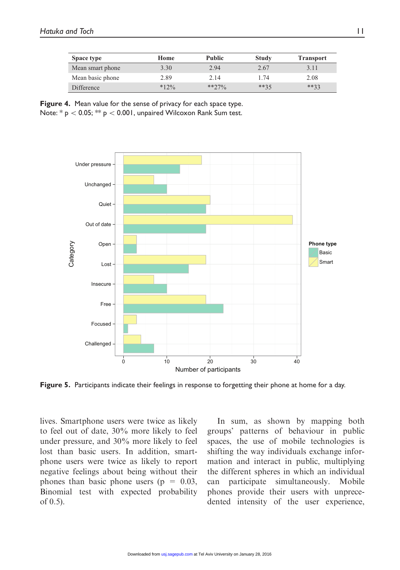| Space type       | Home   | <b>Public</b> | Study   | <b>Transport</b> |
|------------------|--------|---------------|---------|------------------|
| Mean smart phone | 3.30   | 2.94          | 2.67    | 3.11             |
| Mean basic phone | 2.89   | 2.14          | 1.74    | 2.08             |
| Difference       | $*12%$ | $**27\%$      | $***35$ | $***33$          |

Figure 4. Mean value for the sense of privacy for each space type. Note:  $*$  p  $<$  0.05;  $**$  p  $<$  0.001, unpaired Wilcoxon Rank Sum test.



Figure 5. Participants indicate their feelings in response to forgetting their phone at home for a day.

lives. Smartphone users were twice as likely to feel out of date, 30% more likely to feel under pressure, and 30% more likely to feel lost than basic users. In addition, smartphone users were twice as likely to report negative feelings about being without their phones than basic phone users ( $p = 0.03$ , Binomial test with expected probability of 0.5).

In sum, as shown by mapping both groups' patterns of behaviour in public spaces, the use of mobile technologies is shifting the way individuals exchange information and interact in public, multiplying the different spheres in which an individual can participate simultaneously. Mobile phones provide their users with unprecedented intensity of the user experience,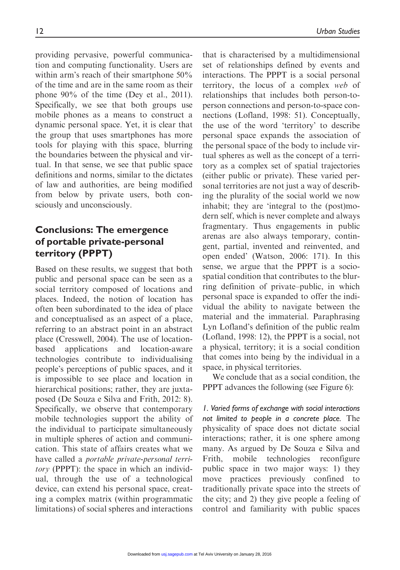providing pervasive, powerful communication and computing functionality. Users are within arm's reach of their smartphone 50% of the time and are in the same room as their phone 90% of the time (Dey et al., 2011). Specifically, we see that both groups use mobile phones as a means to construct a dynamic personal space. Yet, it is clear that the group that uses smartphones has more tools for playing with this space, blurring the boundaries between the physical and virtual. In that sense, we see that public space definitions and norms, similar to the dictates of law and authorities, are being modified from below by private users, both consciously and unconsciously.

# Conclusions: The emergence of portable private-personal territory (PPPT)

Based on these results, we suggest that both public and personal space can be seen as a social territory composed of locations and places. Indeed, the notion of location has often been subordinated to the idea of place and conceptualised as an aspect of a place, referring to an abstract point in an abstract place (Cresswell, 2004). The use of locationbased applications and location-aware technologies contribute to individualising people's perceptions of public spaces, and it is impossible to see place and location in hierarchical positions; rather, they are juxtaposed (De Souza e Silva and Frith, 2012: 8). Specifically, we observe that contemporary mobile technologies support the ability of the individual to participate simultaneously in multiple spheres of action and communication. This state of affairs creates what we have called a portable private-personal territory (PPPT): the space in which an individual, through the use of a technological device, can extend his personal space, creating a complex matrix (within programmatic limitations) of social spheres and interactions

that is characterised by a multidimensional set of relationships defined by events and interactions. The PPPT is a social personal territory, the locus of a complex web of relationships that includes both person-toperson connections and person-to-space connections (Lofland, 1998: 51). Conceptually, the use of the word 'territory' to describe personal space expands the association of the personal space of the body to include virtual spheres as well as the concept of a territory as a complex set of spatial trajectories (either public or private). These varied personal territories are not just a way of describing the plurality of the social world we now inhabit; they are 'integral to the (post)modern self, which is never complete and always fragmentary. Thus engagements in public arenas are also always temporary, contingent, partial, invented and reinvented, and open ended' (Watson, 2006: 171). In this sense, we argue that the PPPT is a sociospatial condition that contributes to the blurring definition of private–public, in which personal space is expanded to offer the individual the ability to navigate between the material and the immaterial. Paraphrasing Lyn Lofland's definition of the public realm (Lofland, 1998: 12), the PPPT is a social, not a physical, territory; it is a social condition that comes into being by the individual in a space, in physical territories.

We conclude that as a social condition, the PPPT advances the following (see Figure 6):

1. Varied forms of exchange with social interactions not limited to people in a concrete place. The physicality of space does not dictate social interactions; rather, it is one sphere among many. As argued by De Souza e Silva and Frith, mobile technologies reconfigure public space in two major ways: 1) they move practices previously confined to traditionally private space into the streets of the city; and 2) they give people a feeling of control and familiarity with public spaces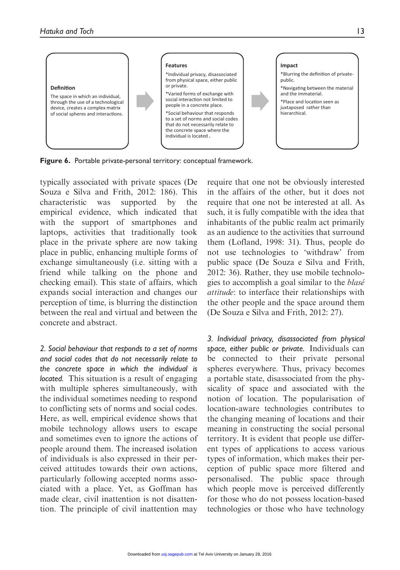

Figure 6. Portable private-personal territory: conceptual framework.

typically associated with private spaces (De Souza e Silva and Frith, 2012: 186). This characteristic was supported by the empirical evidence, which indicated that with the support of smartphones and laptops, activities that traditionally took place in the private sphere are now taking place in public, enhancing multiple forms of exchange simultaneously (i.e. sitting with a friend while talking on the phone and checking email). This state of affairs, which expands social interaction and changes our perception of time, is blurring the distinction between the real and virtual and between the concrete and abstract.

2. Social behaviour that responds to a set of norms and social codes that do not necessarily relate to the concrete space in which the individual is located. This situation is a result of engaging with multiple spheres simultaneously, with the individual sometimes needing to respond to conflicting sets of norms and social codes. Here, as well, empirical evidence shows that mobile technology allows users to escape and sometimes even to ignore the actions of people around them. The increased isolation of individuals is also expressed in their perceived attitudes towards their own actions, particularly following accepted norms associated with a place. Yet, as Goffman has made clear, civil inattention is not disattention. The principle of civil inattention may require that one not be obviously interested in the affairs of the other, but it does not require that one not be interested at all. As such, it is fully compatible with the idea that inhabitants of the public realm act primarily as an audience to the activities that surround them (Lofland, 1998: 31). Thus, people do not use technologies to 'withdraw' from public space (De Souza e Silva and Frith, 2012: 36). Rather, they use mobile technologies to accomplish a goal similar to the *blase* attitude: to interface their relationships with the other people and the space around them (De Souza e Silva and Frith, 2012: 27).

3. Individual privacy, disassociated from physical space, either public or private. Individuals can be connected to their private personal spheres everywhere. Thus, privacy becomes a portable state, disassociated from the physicality of space and associated with the notion of location. The popularisation of location-aware technologies contributes to the changing meaning of locations and their meaning in constructing the social personal territory. It is evident that people use different types of applications to access various types of information, which makes their perception of public space more filtered and personalised. The public space through which people move is perceived differently for those who do not possess location-based technologies or those who have technology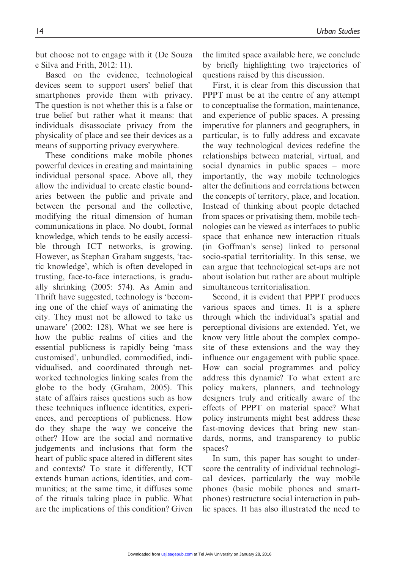but choose not to engage with it (De Souza e Silva and Frith, 2012: 11).

Based on the evidence, technological devices seem to support users' belief that smartphones provide them with privacy. The question is not whether this is a false or true belief but rather what it means: that individuals disassociate privacy from the physicality of place and see their devices as a means of supporting privacy everywhere.

These conditions make mobile phones powerful devices in creating and maintaining individual personal space. Above all, they allow the individual to create elastic boundaries between the public and private and between the personal and the collective, modifying the ritual dimension of human communications in place. No doubt, formal knowledge, which tends to be easily accessible through ICT networks, is growing. However, as Stephan Graham suggests, 'tactic knowledge', which is often developed in trusting, face-to-face interactions, is gradually shrinking (2005: 574). As Amin and Thrift have suggested, technology is 'becoming one of the chief ways of animating the city. They must not be allowed to take us unaware' (2002: 128). What we see here is how the public realms of cities and the essential publicness is rapidly being 'mass customised', unbundled, commodified, individualised, and coordinated through networked technologies linking scales from the globe to the body (Graham, 2005). This state of affairs raises questions such as how these techniques influence identities, experiences, and perceptions of publicness. How do they shape the way we conceive the other? How are the social and normative judgements and inclusions that form the heart of public space altered in different sites and contexts? To state it differently, ICT extends human actions, identities, and communities; at the same time, it diffuses some of the rituals taking place in public. What are the implications of this condition? Given the limited space available here, we conclude by briefly highlighting two trajectories of questions raised by this discussion.

First, it is clear from this discussion that PPPT must be at the centre of any attempt to conceptualise the formation, maintenance, and experience of public spaces. A pressing imperative for planners and geographers, in particular, is to fully address and excavate the way technological devices redefine the relationships between material, virtual, and social dynamics in public spaces – more importantly, the way mobile technologies alter the definitions and correlations between the concepts of territory, place, and location. Instead of thinking about people detached from spaces or privatising them, mobile technologies can be viewed as interfaces to public space that enhance new interaction rituals (in Goffman's sense) linked to personal socio-spatial territoriality. In this sense, we can argue that technological set-ups are not about isolation but rather are about multiple simultaneous territorialisation.

Second, it is evident that PPPT produces various spaces and times. It is a sphere through which the individual's spatial and perceptional divisions are extended. Yet, we know very little about the complex composite of these extensions and the way they influence our engagement with public space. How can social programmes and policy address this dynamic? To what extent are policy makers, planners, and technology designers truly and critically aware of the effects of PPPT on material space? What policy instruments might best address these fast-moving devices that bring new standards, norms, and transparency to public spaces?

In sum, this paper has sought to underscore the centrality of individual technological devices, particularly the way mobile phones (basic mobile phones and smartphones) restructure social interaction in public spaces. It has also illustrated the need to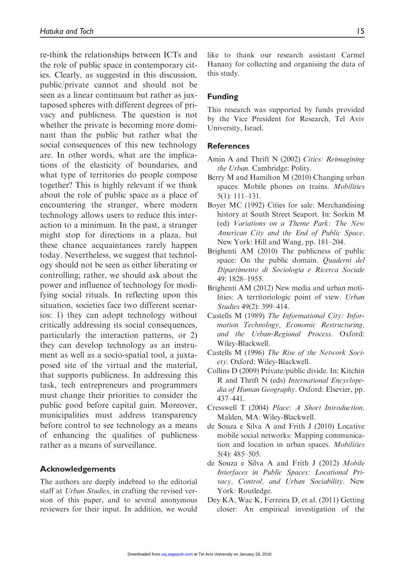re-think the relationships between ICTs and the role of public space in contemporary cities. Clearly, as suggested in this discussion, public/private cannot and should not be seen as a linear continuum but rather as juxtaposed spheres with different degrees of privacy and publicness. The question is not whether the private is becoming more dominant than the public but rather what the social consequences of this new technology are. In other words, what are the implications of the elasticity of boundaries, and what type of territories do people compose together? This is highly relevant if we think about the role of public space as a place of encountering the stranger, where modern technology allows users to reduce this interaction to a minimum. In the past, a stranger might stop for directions in a plaza, but these chance acquaintances rarely happen today. Nevertheless, we suggest that technology should not be seen as either liberating or controlling; rather, we should ask about the power and influence of technology for modifying social rituals. In reflecting upon this situation, societies face two different scenarios: 1) they can adopt technology without critically addressing its social consequences, particularly the interaction patterns, or 2) they can develop technology as an instrument as well as a socio-spatial tool, a juxtaposed site of the virtual and the material, that supports publicness. In addressing this task, tech entrepreneurs and programmers must change their priorities to consider the public good before capital gain. Moreover, municipalities must address transparency before control to see technology as a means of enhancing the qualities of publicness rather as a means of surveillance.

#### Acknowledgements

The authors are deeply indebted to the editorial staff at Urban Studies, in crafting the revised version of this paper, and to several anonymous reviewers for their input. In addition, we would like to thank our research assistant Carmel Hanany for collecting and organising the data of this study.

### Funding

This research was supported by funds provided by the Vice President for Research, Tel Aviv University, Israel.

#### **References**

- Amin A and Thrift N (2002) Cities: Reimagining the Urban. Cambridge: Polity.
- Berry M and Hamilton M (2010) Changing urban spaces: Mobile phones on trains. Mobilities 5(1): 111–131.
- Boyer MC (1992) Cities for sale: Merchandising history at South Street Seaport. In: Sorkin M (ed) Variations on a Theme Park: The New American City and the End of Public Space. New York: Hill and Wang, pp. 181–204.
- Brighenti AM (2010) The publicness of public space: On the public domain. *Quaderni del* Dipartimento di Sociologia e Ricerca Sociale 49: 1828–1955.
- Brighenti AM (2012) New media and urban motilities: A territoriologic point of view. Urban Studies 49(2): 399–414.
- Castells M (1989) The Informational City: Information Technology, Economic Restructuring, and the Urban-Regional Process. Oxford: Wiley-Blackwell.
- Castells M (1996) The Rise of the Network Society. Oxford: Wiley-Blackwell.
- Collins D (2009) Private/public divide. In: Kitchin R and Thrift N (eds) International Encyclopedia of Human Geography. Oxford: Elsevier, pp. 437–441.
- Cresswell T (2004) Place: A Short Introduction. Malden, MA: Wiley-Blackwell.
- de Souza e Silva A and Frith J (2010) Locative mobile social networks: Mapping communication and location in urban spaces. Mobilities 5(4): 485–505.
- de Souza e Silva A and Frith J (2012) Mobile Interfaces in Public Spaces: Locational Privacy, Control, and Urban Sociability. New York: Routledge.
- Dey KA, Wac K, Ferreira D, et al. (2011) Getting closer: An empirical investigation of the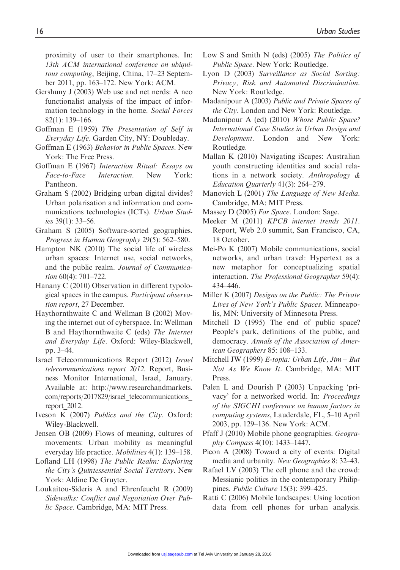proximity of user to their smartphones. In: 13th ACM international conference on ubiquitous computing, Beijing, China, 17–23 September 2011, pp. 163–172. New York: ACM.

- Gershuny J (2003) Web use and net nerds: A neo functionalist analysis of the impact of information technology in the home. Social Forces 82(1): 139–166.
- Goffman E (1959) The Presentation of Self in Everyday Life. Garden City, NY: Doubleday.
- Goffman E (1963) Behavior in Public Spaces. New York: The Free Press.
- Goffman E (1967) Interaction Ritual: Essays on Face-to-Face Interaction. New York: Pantheon.
- Graham S (2002) Bridging urban digital divides? Urban polarisation and information and communications technologies (ICTs). Urban Studies 39(1): 33–56.
- Graham S (2005) Software-sorted geographies. Progress in Human Geography 29(5): 562–580.
- Hampton NK (2010) The social life of wireless urban spaces: Internet use, social networks, and the public realm. Journal of Communication 60(4): 701–722.
- Hanany C (2010) Observation in different typological spaces in the campus. Participant observation report, 27 December.
- Haythornthwaite C and Wellman B (2002) Moving the internet out of cyberspace. In: Wellman B and Haythornthwaite C (eds) The Internet and Everyday Life. Oxford: Wiley-Blackwell, pp. 3–44.
- Israel Telecommunications Report (2012) Israel telecommunications report 2012. Report, Business Monitor International, Israel, January. Available at: http://www.researchandmarkets. com/reports/2017829/israel\_telecommunications\_ report\_2012.
- Iveson K (2007) Publics and the City. Oxford: Wiley-Blackwell.
- Jensen OB (2009) Flows of meaning, cultures of movements: Urban mobility as meaningful everyday life practice. Mobilities 4(1): 139–158.
- Lofland LH (1998) The Public Realm: Exploring the City's Quintessential Social Territory. New York: Aldine De Gruyter.
- Loukaitou-Sideris A and Ehrenfeucht R (2009) Sidewalks: Conflict and Negotiation Over Public Space. Cambridge, MA: MIT Press.
- Low S and Smith N (eds) (2005) The Politics of Public Space. New York: Routledge.
- Lyon D (2003) Surveillance as Social Sorting: Privacy, Risk and Automated Discrimination. New York: Routledge.
- Madanipour A (2003) Public and Private Spaces of the City. London and New York: Routledge.
- Madanipour A (ed) (2010) Whose Public Space? International Case Studies in Urban Design and Development. London and New York: Routledge.
- Mallan K (2010) Navigating iScapes: Australian youth constructing identities and social relations in a network society. Anthropology & Education Quarterly 41(3): 264–279.
- Manovich L (2001) The Language of New Media. Cambridge, MA: MIT Press.
- Massey D (2005) For Space. London: Sage.
- Meeker M (2011) KPCB internet trends 2011. Report, Web 2.0 summit, San Francisco, CA, 18 October.
- Mei-Po K (2007) Mobile communications, social networks, and urban travel: Hypertext as a new metaphor for conceptualizing spatial interaction. The Professional Geographer 59(4): 434–446.
- Miller K (2007) Designs on the Public: The Private Lives of New York's Public Spaces. Minneapolis, MN: University of Minnesota Press.
- Mitchell D (1995) The end of public space? People's park, definitions of the public, and democracy. Annals of the Association of American Geographers 85: 108–133.
- Mitchell JW (1999) E-topia: Urban Life, Jim But Not As We Know It. Cambridge, MA: MIT Press.
- Palen L and Dourish P (2003) Unpacking 'privacy' for a networked world. In: Proceedings of the SIGCHI conference on human factors in computing systems, Lauderdale, FL, 5–10 April 2003, pp. 129–136. New York: ACM.
- Pfaff J (2010) Mobile phone geographies. Geography Compass 4(10): 1433–1447.
- Picon A (2008) Toward a city of events: Digital media and urbanity. New Geographies 8: 32–43.
- Rafael LV (2003) The cell phone and the crowd: Messianic politics in the contemporary Philippines. Public Culture 15(3): 399–425.
- Ratti C (2006) Mobile landscapes: Using location data from cell phones for urban analysis.